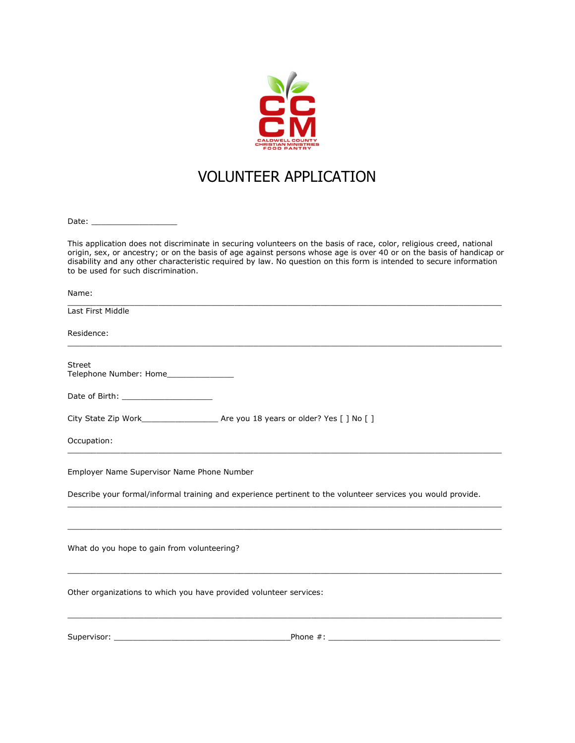

## VOLUNTEER APPLICATION

Date: \_\_\_\_\_\_\_\_\_\_\_\_\_\_\_\_\_\_

This application does not discriminate in securing volunteers on the basis of race, color, religious creed, national origin, sex, or ancestry; or on the basis of age against persons whose age is over 40 or on the basis of handicap or disability and any other characteristic required by law. No question on this form is intended to secure information to be used for such discrimination.

| Name:                                                                                                        |  |
|--------------------------------------------------------------------------------------------------------------|--|
| Last First Middle                                                                                            |  |
| Residence:                                                                                                   |  |
| <b>Street</b><br>Telephone Number: Home                                                                      |  |
|                                                                                                              |  |
|                                                                                                              |  |
| Occupation:                                                                                                  |  |
| Employer Name Supervisor Name Phone Number                                                                   |  |
| Describe your formal/informal training and experience pertinent to the volunteer services you would provide. |  |
|                                                                                                              |  |
| What do you hope to gain from volunteering?                                                                  |  |
| Other organizations to which you have provided volunteer services:                                           |  |
| Supervisor:<br>Phone $#$ :                                                                                   |  |